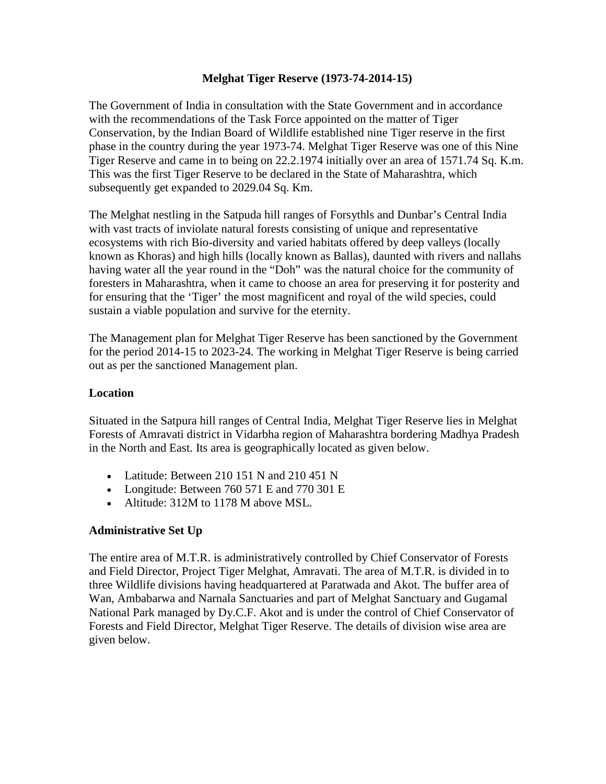### **Melghat Tiger Reserve (1973-74-2014-15)**

The Government of India in consultation with the State Government and in accordance with the recommendations of the Task Force appointed on the matter of Tiger Conservation, by the Indian Board of Wildlife established nine Tiger reserve in the first phase in the country during the year 1973-74. Melghat Tiger Reserve was one of this Nine Tiger Reserve and came in to being on 22.2.1974 initially over an area of 1571.74 Sq. K.m. This was the first Tiger Reserve to be declared in the State of Maharashtra, which subsequently get expanded to 2029.04 Sq. Km.

The Melghat nestling in the Satpuda hill ranges of Forsythls and Dunbar's Central India with vast tracts of inviolate natural forests consisting of unique and representative ecosystems with rich Bio-diversity and varied habitats offered by deep valleys (locally known as Khoras) and high hills (locally known as Ballas), daunted with rivers and nallahs having water all the year round in the "Doh" was the natural choice for the community of foresters in Maharashtra, when it came to choose an area for preserving it for posterity and for ensuring that the 'Tiger' the most magnificent and royal of the wild species, could sustain a viable population and survive for the eternity.

The Management plan for Melghat Tiger Reserve has been sanctioned by the Government for the period 2014-15 to 2023-24. The working in Melghat Tiger Reserve is being carried out as per the sanctioned Management plan.

#### **Location**

Situated in the Satpura hill ranges of Central India, Melghat Tiger Reserve lies in Melghat Forests of Amravati district in Vidarbha region of Maharashtra bordering Madhya Pradesh in the North and East. Its area is geographically located as given below.

- Latitude: Between 210 151 N and 210 451 N
- Longitude: Between 760 571 E and 770 301 E
- Altitude: 312M to 1178 M above MSL.

## **Administrative Set Up**

The entire area of M.T.R. is administratively controlled by Chief Conservator of Forests and Field Director, Project Tiger Melghat, Amravati. The area of M.T.R. is divided in to three Wildlife divisions having headquartered at Paratwada and Akot. The buffer area of Wan, Ambabarwa and Narnala Sanctuaries and part of Melghat Sanctuary and Gugamal National Park managed by Dy.C.F. Akot and is under the control of Chief Conservator of Forests and Field Director, Melghat Tiger Reserve. The details of division wise area are given below.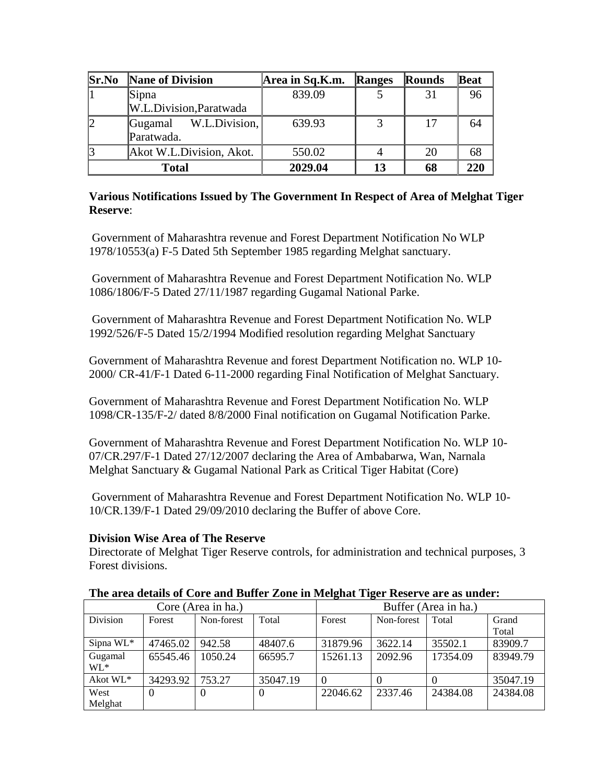| Sr.No | <b>Nane of Division</b>  | Area in Sq.K.m. | Ranges | Rounds | Beat |
|-------|--------------------------|-----------------|--------|--------|------|
|       | Sipna                    | 839.09          |        | 31     | 96   |
|       | W.L.Division, Paratwada  |                 |        |        |      |
| 12    | W.L.Division,<br>Gugamal | 639.93          | 3      | 17     | 64   |
|       | Paratwada.               |                 |        |        |      |
| 13    | Akot W.L.Division, Akot. | 550.02          |        | 20     | 68   |
|       | <b>Total</b>             | 2029.04         | 13     | 68     | 220  |

### **Various Notifications Issued by The Government In Respect of Area of Melghat Tiger Reserve**:

Government of Maharashtra revenue and Forest Department Notification No WLP 1978/10553(a) F-5 Dated 5th September 1985 regarding Melghat sanctuary.

Government of Maharashtra Revenue and Forest Department Notification No. WLP 1086/1806/F-5 Dated 27/11/1987 regarding Gugamal National Parke.

Government of Maharashtra Revenue and Forest Department Notification No. WLP 1992/526/F-5 Dated 15/2/1994 Modified resolution regarding Melghat Sanctuary

Government of Maharashtra Revenue and forest Department Notification no. WLP 10- 2000/ CR-41/F-1 Dated 6-11-2000 regarding Final Notification of Melghat Sanctuary.

Government of Maharashtra Revenue and Forest Department Notification No. WLP 1098/CR-135/F-2/ dated 8/8/2000 Final notification on Gugamal Notification Parke.

Government of Maharashtra Revenue and Forest Department Notification No. WLP 10- 07/CR.297/F-1 Dated 27/12/2007 declaring the Area of Ambabarwa, Wan, Narnala Melghat Sanctuary & Gugamal National Park as Critical Tiger Habitat (Core)

Government of Maharashtra Revenue and Forest Department Notification No. WLP 10- 10/CR.139/F-1 Dated 29/09/2010 declaring the Buffer of above Core.

## **Division Wise Area of The Reserve**

Directorate of Melghat Tiger Reserve controls, for administration and technical purposes, 3 Forest divisions.

#### **The area details of Core and Buffer Zone in Melghat Tiger Reserve are as under:**

| Core (Area in ha.) |          |            | Buffer (Area in ha.) |          |            |          |          |
|--------------------|----------|------------|----------------------|----------|------------|----------|----------|
| <b>Division</b>    | Forest   | Non-forest | Total                | Forest   | Non-forest | Total    | Grand    |
|                    |          |            |                      |          |            |          | Total    |
| Sipna $WL^*$       | 47465.02 | 942.58     | 48407.6              | 31879.96 | 3622.14    | 35502.1  | 83909.7  |
| Gugamal            | 65545.46 | 1050.24    | 66595.7              | 15261.13 | 2092.96    | 17354.09 | 83949.79 |
| $WL^*$             |          |            |                      |          |            |          |          |
| Akot WL*           | 34293.92 | 753.27     | 35047.19             |          |            |          | 35047.19 |
| West               |          | $\theta$   |                      | 22046.62 | 2337.46    | 24384.08 | 24384.08 |
| Melghat            |          |            |                      |          |            |          |          |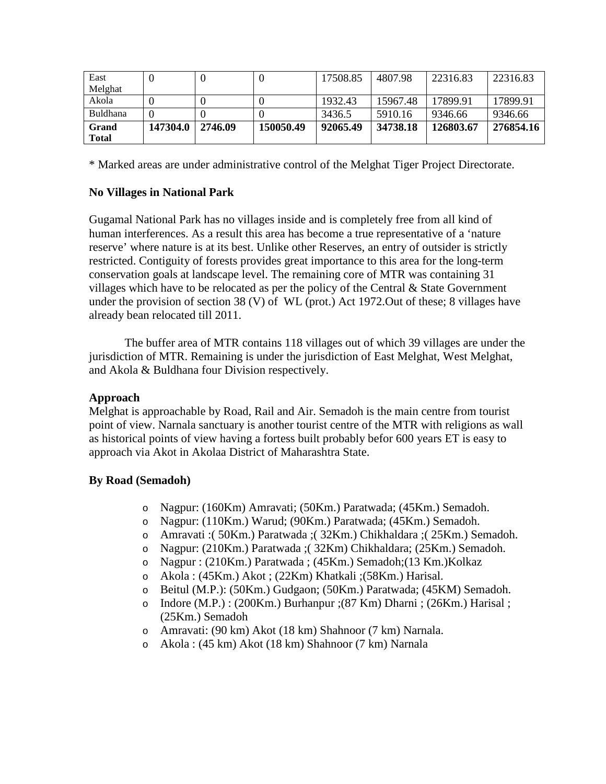| East                  |          |         |           | 17508.85 | 4807.98  | 22316.83  | 22316.83  |
|-----------------------|----------|---------|-----------|----------|----------|-----------|-----------|
| Melghat               |          |         |           |          |          |           |           |
| Akola                 |          |         |           | 1932.43  | 15967.48 | 17899.91  | 17899.91  |
| Buldhana              |          |         |           | 3436.5   | 5910.16  | 9346.66   | 9346.66   |
| Grand<br><b>Total</b> | 147304.0 | 2746.09 | 150050.49 | 92065.49 | 34738.18 | 126803.67 | 276854.16 |

\* Marked areas are under administrative control of the Melghat Tiger Project Directorate.

### **No Villages in National Park**

Gugamal National Park has no villages inside and is completely free from all kind of human interferences. As a result this area has become a true representative of a 'nature reserve' where nature is at its best. Unlike other Reserves, an entry of outsider is strictly restricted. Contiguity of forests provides great importance to this area for the long-term conservation goals at landscape level. The remaining core of MTR was containing 31 villages which have to be relocated as per the policy of the Central  $&$  State Government under the provision of section 38 (V) of WL (prot.) Act 1972.Out of these; 8 villages have already bean relocated till 2011.

The buffer area of MTR contains 118 villages out of which 39 villages are under the jurisdiction of MTR. Remaining is under the jurisdiction of East Melghat, West Melghat, and Akola & Buldhana four Division respectively.

## **Approach**

Melghat is approachable by Road, Rail and Air. Semadoh is the main centre from tourist point of view. Narnala sanctuary is another tourist centre of the MTR with religions as wall as historical points of view having a fortess built probably befor 600 years ET is easy to approach via Akot in Akolaa District of Maharashtra State.

## **By Road (Semadoh)**

- o Nagpur: (160Km) Amravati; (50Km.) Paratwada; (45Km.) Semadoh.
- o Nagpur: (110Km.) Warud; (90Km.) Paratwada; (45Km.) Semadoh.
- o Amravati :( 50Km.) Paratwada ;( 32Km.) Chikhaldara ;( 25Km.) Semadoh.
- o Nagpur: (210Km.) Paratwada ;( 32Km) Chikhaldara; (25Km.) Semadoh.
- o Nagpur : (210Km.) Paratwada ; (45Km.) Semadoh;(13 Km.)Kolkaz
- o Akola : (45Km.) Akot ; (22Km) Khatkali ;(58Km.) Harisal.
- o Beitul (M.P.): (50Km.) Gudgaon; (50Km.) Paratwada; (45KM) Semadoh.
- o Indore (M.P.) : (200Km.) Burhanpur ;(87 Km) Dharni ; (26Km.) Harisal ; (25Km.) Semadoh
- o Amravati: (90 km) Akot (18 km) Shahnoor (7 km) Narnala.
- o Akola : (45 km) Akot (18 km) Shahnoor (7 km) Narnala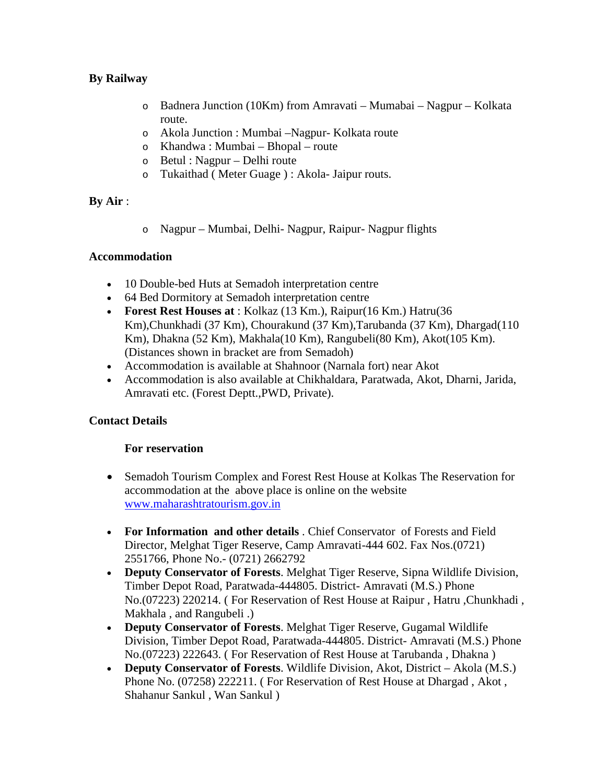# **By Railway**

- o Badnera Junction (10Km) from Amravati Mumabai Nagpur Kolkata route.
- o Akola Junction : Mumbai –Nagpur- Kolkata route
- o Khandwa : Mumbai Bhopal route
- o Betul : Nagpur Delhi route
- o Tukaithad ( Meter Guage ) : Akola- Jaipur routs.

# **By Air** :

o Nagpur – Mumbai, Delhi- Nagpur, Raipur- Nagpur flights

## **Accommodation**

- 10 Double-bed Huts at Semadoh interpretation centre
- 64 Bed Dormitory at Semadoh interpretation centre
- **Forest Rest Houses at** : Kolkaz (13 Km.), Raipur(16 Km.) Hatru(36 Km), Chunkhadi (37 Km), Chourakund (37 Km), Tarubanda (37 Km), Dhargad(110 Km), Dhakna (52 Km), Makhala(10 Km), Rangubeli(80 Km), Akot(105 Km). (Distances shown in bracket are from Semadoh)
- Accommodation is available at Shahnoor (Narnala fort) near Akot
- Accommodation is also available at Chikhaldara, Paratwada, Akot, Dharni, Jarida, Amravati etc. (Forest Deptt.,PWD, Private).

# **Contact Details**

## **For reservation**

- Semadoh Tourism Complex and Forest Rest House at Kolkas The Reservation for accommodation at the above place is online on the website [www.maharashtratourism.gov.in](http://www.maharashtratourism.gov.in/)
- **For Information and other details** . Chief Conservator of Forests and Field Director, Melghat Tiger Reserve, Camp Amravati-444 602. Fax Nos.(0721) 2551766, Phone No.- (0721) 2662792
- **Deputy Conservator of Forests**. Melghat Tiger Reserve, Sipna Wildlife Division, Timber Depot Road, Paratwada-444805. District- Amravati (M.S.) Phone No.(07223) 220214. ( For Reservation of Rest House at Raipur , Hatru ,Chunkhadi , Makhala , and Rangubeli .)
- **Deputy Conservator of Forests**. Melghat Tiger Reserve, Gugamal Wildlife Division, Timber Depot Road, Paratwada-444805. District- Amravati (M.S.) Phone No.(07223) 222643. ( For Reservation of Rest House at Tarubanda , Dhakna )
- **Deputy Conservator of Forests**. Wildlife Division, Akot, District Akola (M.S.) Phone No. (07258) 222211. ( For Reservation of Rest House at Dhargad , Akot , Shahanur Sankul , Wan Sankul )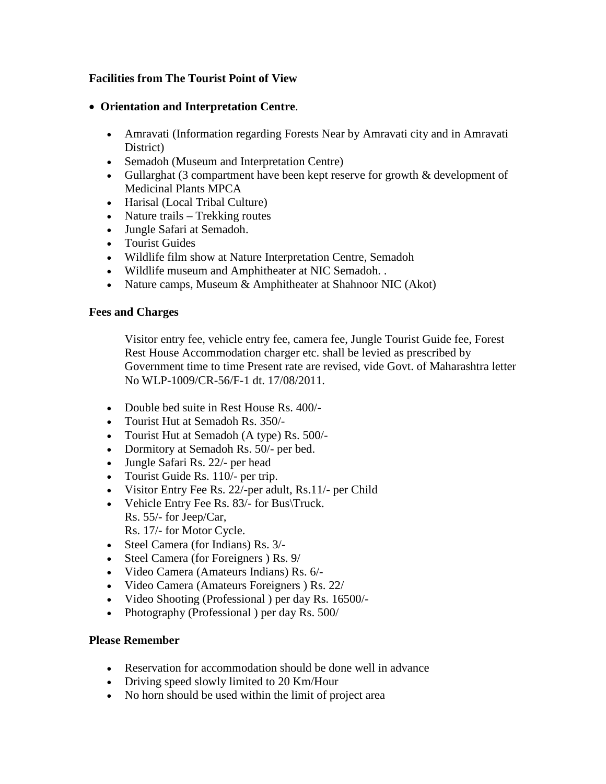# **Facilities from The Tourist Point of View**

- **Orientation and Interpretation Centre**.
	- Amravati (Information regarding Forests Near by Amravati city and in Amravati District)
	- Semadoh (Museum and Interpretation Centre)
	- Gullarghat (3 compartment have been kept reserve for growth & development of Medicinal Plants MPCA
	- Harisal (Local Tribal Culture)
	- Nature trails Trekking routes
	- Jungle Safari at Semadoh.
	- Tourist Guides
	- Wildlife film show at Nature Interpretation Centre, Semadoh
	- Wildlife museum and Amphitheater at NIC Semadoh. .
	- Nature camps, Museum & Amphitheater at Shahnoor NIC (Akot)

### **Fees and Charges**

Visitor entry fee, vehicle entry fee, camera fee, Jungle Tourist Guide fee, Forest Rest House Accommodation charger etc. shall be levied as prescribed by Government time to time Present rate are revised, vide Govt. of Maharashtra letter No WLP-1009/CR-56/F-1 dt. 17/08/2011.

- Double bed suite in Rest House Rs. 400/-
- Tourist Hut at Semadoh Rs. 350/-
- Tourist Hut at Semadoh (A type) Rs. 500/-
- Dormitory at Semadoh Rs. 50/- per bed.
- Jungle Safari Rs. 22/- per head
- Tourist Guide Rs. 110/- per trip.
- Visitor Entry Fee Rs. 22/-per adult, Rs.11/- per Child
- Vehicle Entry Fee Rs. 83/- for Bus\Truck. Rs. 55/- for Jeep/Car, Rs. 17/- for Motor Cycle.
- Steel Camera (for Indians) Rs. 3/-
- Steel Camera (for Foreigners ) Rs. 9/
- Video Camera (Amateurs Indians) Rs. 6/-
- Video Camera (Amateurs Foreigners ) Rs. 22/
- Video Shooting (Professional ) per day Rs. 16500/-
- Photography (Professional) per day Rs. 500/

## **Please Remember**

- Reservation for accommodation should be done well in advance
- Driving speed slowly limited to 20 Km/Hour
- No horn should be used within the limit of project area